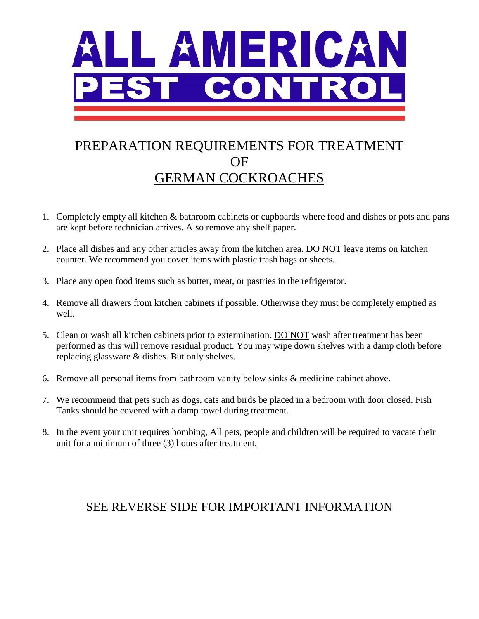

# PREPARATION REQUIREMENTS FOR TREATMENT OF GERMAN COCKROACHES

- 1. Completely empty all kitchen & bathroom cabinets or cupboards where food and dishes or pots and pans are kept before technician arrives. Also remove any shelf paper.
- 2. Place all dishes and any other articles away from the kitchen area. DO NOT leave items on kitchen counter. We recommend you cover items with plastic trash bags or sheets.
- 3. Place any open food items such as butter, meat, or pastries in the refrigerator.
- 4. Remove all drawers from kitchen cabinets if possible. Otherwise they must be completely emptied as well.
- 5. Clean or wash all kitchen cabinets prior to extermination. DO NOT wash after treatment has been performed as this will remove residual product. You may wipe down shelves with a damp cloth before replacing glassware & dishes. But only shelves.
- 6. Remove all personal items from bathroom vanity below sinks & medicine cabinet above.
- 7. We recommend that pets such as dogs, cats and birds be placed in a bedroom with door closed. Fish Tanks should be covered with a damp towel during treatment.
- 8. In the event your unit requires bombing, All pets, people and children will be required to vacate their unit for a minimum of three (3) hours after treatment.

### SEE REVERSE SIDE FOR IMPORTANT INFORMATION